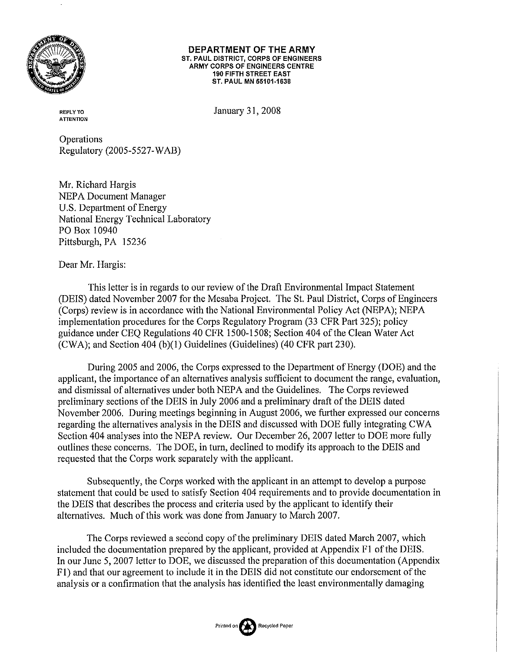

#### DEPARTMENT OF THE ARMY ST. PAUL DISTRICT, CORPS OF ENGINEERS ARMY CORPS OF ENGINEERS CENTRE **190 FIFTH STREET EAST** ST. PAUL MN 55101-1638

**REPLY TO ATTENTION**  January 31, 2008

Operations Regulatory (2005-5527-WAB)

Mr. Richard Hargis **NEPA Document Manager** U.S. Department of Energy National Energy Technical Laboratory PO Box 10940 Pittsburgh, PA 15236

Dear Mr. Hargis:

This letter is in regards to our review of the Draft Environmental Impact Statement (DEIS) dated November 2007 for the Mesaba Project. The St. Paul District, Corps of Engineers (Corps) review is in accordance with the National Environmental Policy Act (NEPA); NEPA implementation procedures for the Corps Regulatory Program (33 CFR Part 325); policy guidance under CEQ Regulations 40 CFR 1500-1508; Section 404 of the Clean Water Act (CWA); and Section 404 (b)(1) Guidelines (Guidelines) (40 CFR part 230).

During 2005 and 2006, the Corps expressed to the Department of Energy (DOE) and the applicant, the importance of an alternatives analysis sufficient to document the range, evaluation, and dismissal of alternatives under both NEPA and the Guidelines. The Corps reviewed preliminary sections of the DEIS in July 2006 and a preliminary draft of the DEIS dated November 2006. During meetings beginning in August 2006, we further expressed our concerns regarding the alternatives analysis in the DEIS and discussed with DOE fully integrating CWA Section 404 analyses into the NEPA review. Our December 26, 2007 letter to DOE more fully outlines these concerns. The DOE, in turn, declined to modify its approach to the DEIS and requested that the Corps work separately with the applicant.

Subsequently, the Corps worked with the applicant in an attempt to develop a purpose statement that could be used to satisfy Section 404 requirements and to provide documentation in the DEIS that describes the process and criteria used by the applicant to identify their alternatives. Much of this work was done from January to March 2007.

The Corps reviewed a second copy of the preliminary DEIS dated March 2007, which included the documentation prepared by the applicant, provided at Appendix F1 of the DEIS. In our June 5, 2007 letter to DOE, we discussed the preparation of this documentation (Appendix F1) and that our agreement to include it in the DEIS did not constitute our endorsement of the analysis or a confirmation that the analysis has identified the least environmentally damaging

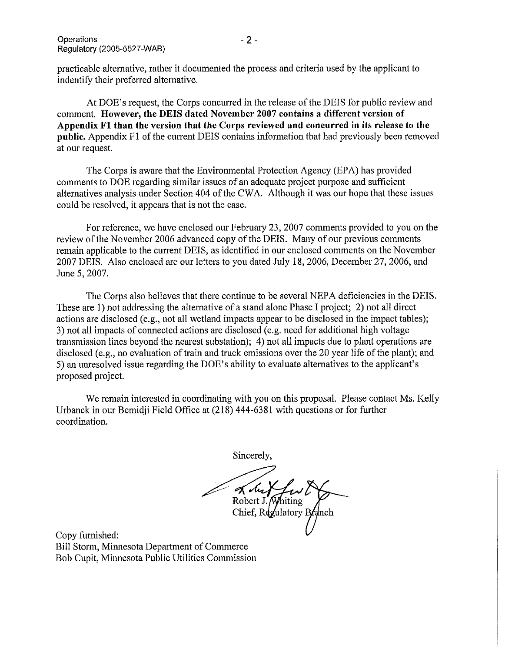practicable alternative, rather it documented the process and criteria used by the applicant to indentify their preferred alternative.

At DOE's request, the Corps concurred in the release of the DEIS for public review and comment. However, the DEIS dated November 2007 contains a different version of Appendix F1 than the version that the Corps reviewed and concurred in its release to the public. Appendix F1 of the current DEIS contains information that had previously been removed at our request.

The Corps is aware that the Environmental Protection Agency (EPA) has provided comments to DOE regarding similar issues of an adequate project purpose and sufficient alternatives analysis under Section 404 of the CWA. Although it was our hope that these issues could be resolved, it appears that is not the case.

For reference, we have enclosed our February 23, 2007 comments provided to you on the review of the November 2006 advanced copy of the DEIS. Many of our previous comments remain applicable to the current DEIS, as identified in our enclosed comments on the November 2007 DEIS. Also enclosed are our letters to you dated July 18, 2006, December 27, 2006, and June 5, 2007.

The Corps also believes that there continue to be several NEPA deficiencies in the DEIS. These are 1) not addressing the alternative of a stand alone Phase I project; 2) not all direct actions are disclosed (e.g., not all wetland impacts appear to be disclosed in the impact tables); 3) not all impacts of connected actions are disclosed (e.g. need for additional high voltage transmission lines beyond the nearest substation); 4) not all impacts due to plant operations are disclosed (e.g., no evaluation of train and truck emissions over the 20 year life of the plant); and 5) an unresolved issue regarding the DOE's ability to evaluate alternatives to the applicant's proposed project.

We remain interested in coordinating with you on this proposal. Please contact Ms. Kelly Urbanek in our Bemidii Field Office at (218) 444-6381 with questions or for further coordination.

Sincerely,

Kolu Robert J. Whiting Chief, Regulatory Branch

Copy furnished: Bill Storm, Minnesota Department of Commerce Bob Cupit, Minnesota Public Utilities Commission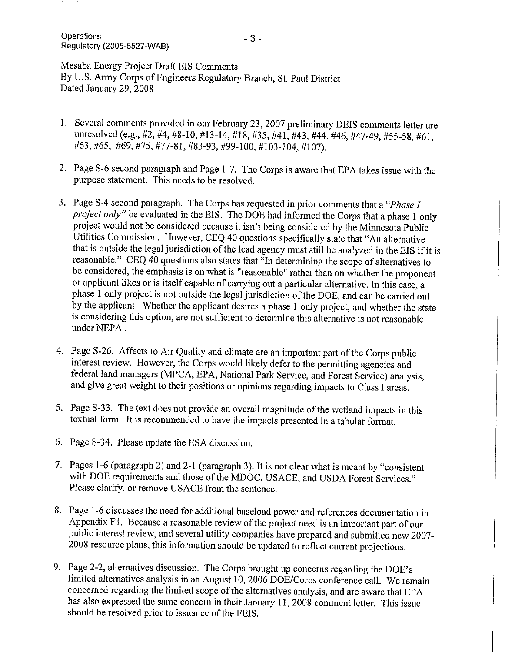Mesaba Energy Project Draft EIS Comments By U.S. Army Corps of Engineers Regulatory Branch, St. Paul District Dated January 29, 2008

- 1. Several comments provided in our February 23, 2007 preliminary DEIS comments letter are unresolved (e.g., #2, #4, #8-10, #13-14, #18, #35, #41, #43, #44, #46, #47-49, #55-58, #61, #63, #65, #69, #75, #77-81, #83-93, #99-100, #103-104, #107).
- 2. Page S-6 second paragraph and Page 1-7. The Corps is aware that EPA takes issue with the purpose statement. This needs to be resolved.
- 3. Page S-4 second paragraph. The Corps has requested in prior comments that a "*Phase I* project only" be evaluated in the EIS. The DOE had informed the Corps that a phase 1 only project would not be considered because it isn't being considered by the Minnesota Public Utilities Commission. However, CEQ 40 questions specifically state that "An alternative that is outside the legal jurisdiction of the lead agency must still be analyzed in the EIS if it is reasonable." CEQ 40 questions also states that "In determining the scope of alternatives to be considered, the emphasis is on what is "reasonable" rather than on whether the proponent or applicant likes or is itself capable of carrying out a particular alternative. In this case, a phase 1 only project is not outside the legal jurisdiction of the DOE, and can be carried out by the applicant. Whether the applicant desires a phase 1 only project, and whether the state is considering this option, are not sufficient to determine this alternative is not reasonable under NEPA.
- 4. Page S-26. Affects to Air Quality and climate are an important part of the Corps public interest review. However, the Corps would likely defer to the permitting agencies and federal land managers (MPCA, EPA, National Park Service, and Forest Service) analysis, and give great weight to their positions or opinions regarding impacts to Class I areas.
- 5. Page S-33. The text does not provide an overall magnitude of the wetland impacts in this textual form. It is recommended to have the impacts presented in a tabular format.
- 6. Page S-34. Please update the ESA discussion.
- 7. Pages 1-6 (paragraph 2) and 2-1 (paragraph 3). It is not clear what is meant by "consistent" with DOE requirements and those of the MDOC, USACE, and USDA Forest Services." Please clarify, or remove USACE from the sentence.
- 8. Page 1-6 discusses the need for additional baseload power and references documentation in Appendix F1. Because a reasonable review of the project need is an important part of our public interest review, and several utility companies have prepared and submitted new 2007-2008 resource plans, this information should be updated to reflect current projections.
- 9. Page 2-2, alternatives discussion. The Corps brought up concerns regarding the DOE's limited alternatives analysis in an August 10, 2006 DOE/Corps conference call. We remain concerned regarding the limited scope of the alternatives analysis, and are aware that EPA has also expressed the same concern in their January 11, 2008 comment letter. This issue should be resolved prior to issuance of the FEIS.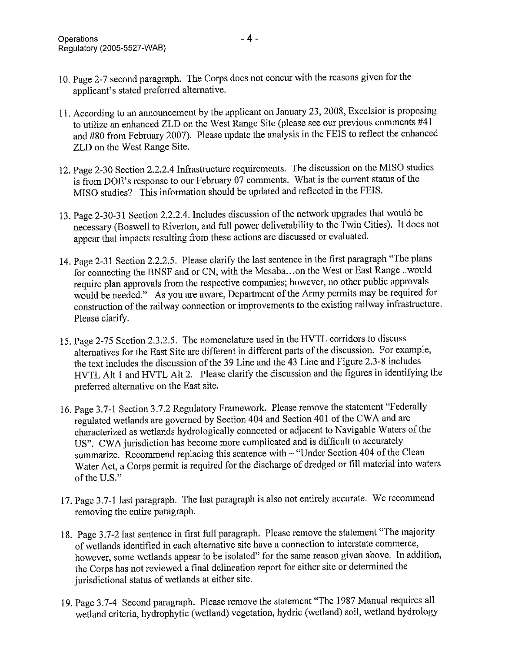- 10. Page 2-7 second paragraph. The Corps does not concur with the reasons given for the applicant's stated preferred alternative.
- 11. According to an announcement by the applicant on January 23, 2008, Excelsior is proposing to utilize an enhanced ZLD on the West Range Site (please see our previous comments #41 and #80 from February 2007). Please update the analysis in the FEIS to reflect the enhanced ZLD on the West Range Site.
- 12. Page 2-30 Section 2.2.2.4 Infrastructure requirements. The discussion on the MISO studies is from DOE's response to our February 07 comments. What is the current status of the MISO studies? This information should be updated and reflected in the FEIS.
- 13. Page 2-30-31 Section 2.2.2.4. Includes discussion of the network upgrades that would be necessary (Boswell to Riverton, and full power deliverability to the Twin Cities). It does not appear that impacts resulting from these actions are discussed or evaluated.
- 14. Page 2-31 Section 2.2.2.5. Please clarify the last sentence in the first paragraph "The plans for connecting the BNSF and or CN, with the Mesaba...on the West or East Range ..would require plan approvals from the respective companies; however, no other public approvals would be needed." As you are aware, Department of the Army permits may be required for construction of the railway connection or improvements to the existing railway infrastructure. Please clarify.
- 15. Page 2-75 Section 2.3.2.5. The nomenclature used in the HVTL corridors to discuss alternatives for the East Site are different in different parts of the discussion. For example, the text includes the discussion of the 39 Line and the 43 Line and Figure 2.3-8 includes HVTL Alt 1 and HVTL Alt 2. Please clarify the discussion and the figures in identifying the preferred alternative on the East site.
- 16. Page 3.7-1 Section 3.7.2 Regulatory Framework. Please remove the statement "Federally regulated wetlands are governed by Section 404 and Section 401 of the CWA and are characterized as wetlands hydrologically connected or adjacent to Navigable Waters of the US". CWA jurisdiction has become more complicated and is difficult to accurately summarize. Recommend replacing this sentence with - "Under Section 404 of the Clean Water Act, a Corps permit is required for the discharge of dredged or fill material into waters of the U.S."
- 17. Page 3.7-1 last paragraph. The last paragraph is also not entirely accurate. We recommend removing the entire paragraph.
- 18. Page 3.7-2 last sentence in first full paragraph. Please remove the statement "The majority of wetlands identified in each alternative site have a connection to interstate commerce, however, some wetlands appear to be isolated" for the same reason given above. In addition, the Corps has not reviewed a final delineation report for either site or determined the jurisdictional status of wetlands at either site.
- 19. Page 3.7-4 Second paragraph. Please remove the statement "The 1987 Manual requires all wetland criteria, hydrophytic (wetland) vegetation, hydric (wetland) soil, wetland hydrology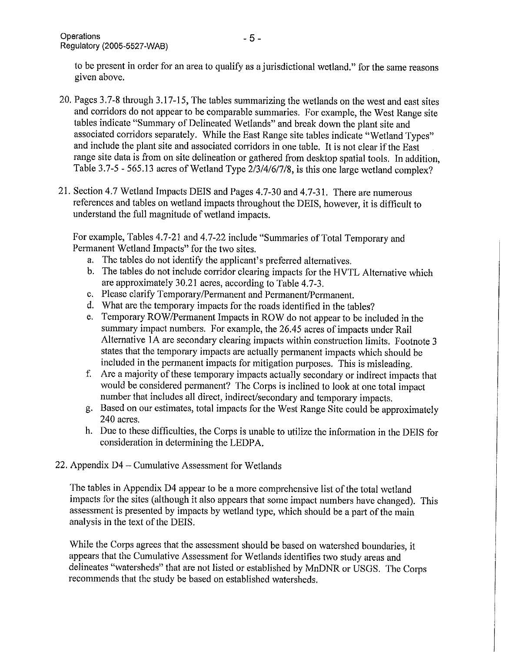to be present in order for an area to qualify as a jurisdictional wetland." for the same reasons given above.

- 20. Pages 3.7-8 through 3.17-15, The tables summarizing the wetlands on the west and east sites and corridors do not appear to be comparable summaries. For example, the West Range site tables indicate "Summary of Delineated Wetlands" and break down the plant site and associated corridors separately. While the East Range site tables indicate "Wetland Types" and include the plant site and associated corridors in one table. It is not clear if the East range site data is from on site delineation or gathered from desktop spatial tools. In addition, Table 3.7-5 - 565.13 acres of Wetland Type 2/3/4/6/7/8, is this one large wetland complex?
- 21. Section 4.7 Wetland Impacts DEIS and Pages 4.7-30 and 4.7-31. There are numerous references and tables on wetland impacts throughout the DEIS, however, it is difficult to understand the full magnitude of wetland impacts.

For example, Tables 4.7-21 and 4.7-22 include "Summaries of Total Temporary and Permanent Wetland Impacts" for the two sites.

- a. The tables do not identify the applicant's preferred alternatives.
- b. The tables do not include corridor clearing impacts for the HVTL Alternative which are approximately 30.21 acres, according to Table 4.7-3.
- c. Please clarify Temporary/Permanent and Permanent/Permanent.
- d. What are the temporary impacts for the roads identified in the tables?
- e. Temporary ROW/Permanent Impacts in ROW do not appear to be included in the summary impact numbers. For example, the 26.45 acres of impacts under Rail Alternative 1A are secondary clearing impacts within construction limits. Footnote 3 states that the temporary impacts are actually permanent impacts which should be included in the permanent impacts for mitigation purposes. This is misleading.
- f. Are a majority of these temporary impacts actually secondary or indirect impacts that would be considered permanent? The Corps is inclined to look at one total impact number that includes all direct, indirect/secondary and temporary impacts.
- g. Based on our estimates, total impacts for the West Range Site could be approximately 240 acres.
- h. Due to these difficulties, the Corps is unable to utilize the information in the DEIS for consideration in determining the LEDPA.
- 22. Appendix D4 Cumulative Assessment for Wetlands

The tables in Appendix D4 appear to be a more comprehensive list of the total wetland impacts for the sites (although it also appears that some impact numbers have changed). This assessment is presented by impacts by wetland type, which should be a part of the main analysis in the text of the DEIS.

While the Corps agrees that the assessment should be based on watershed boundaries, it appears that the Cumulative Assessment for Wetlands identifies two study areas and delineates "watersheds" that are not listed or established by MnDNR or USGS. The Corps recommends that the study be based on established watersheds.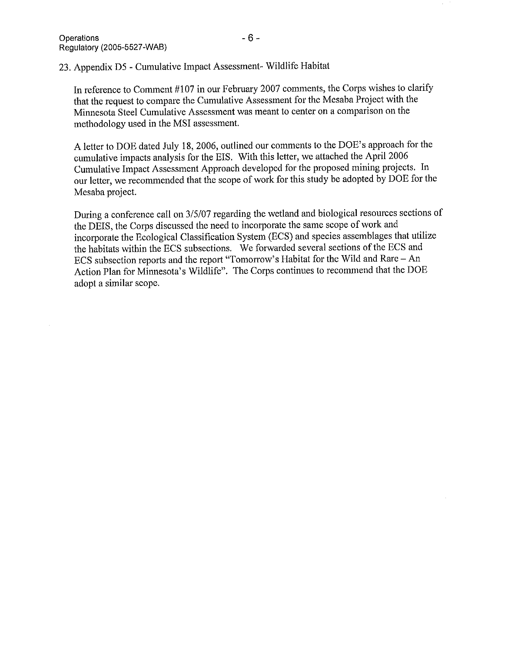23. Appendix D5 - Cumulative Impact Assessment- Wildlife Habitat

In reference to Comment #107 in our February 2007 comments, the Corps wishes to clarify that the request to compare the Cumulative Assessment for the Mesaba Project with the Minnesota Steel Cumulative Assessment was meant to center on a comparison on the methodology used in the MSI assessment.

A letter to DOE dated July 18, 2006, outlined our comments to the DOE's approach for the cumulative impacts analysis for the EIS. With this letter, we attached the April 2006 Cumulative Impact Assessment Approach developed for the proposed mining projects. In our letter, we recommended that the scope of work for this study be adopted by DOE for the Mesaba project.

During a conference call on 3/5/07 regarding the wetland and biological resources sections of the DEIS, the Corps discussed the need to incorporate the same scope of work and incorporate the Ecological Classification System (ECS) and species assemblages that utilize the habitats within the ECS subsections. We forwarded several sections of the ECS and ECS subsection reports and the report "Tomorrow's Habitat for the Wild and Rare - An Action Plan for Minnesota's Wildlife". The Corps continues to recommend that the DOE adopt a similar scope.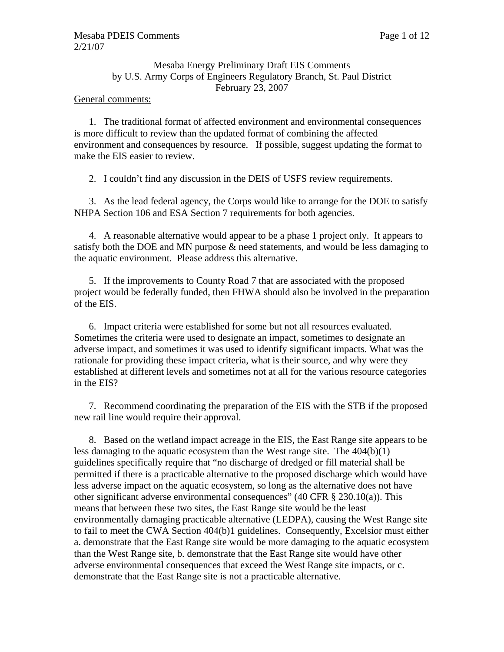## Mesaba Energy Preliminary Draft EIS Comments by U.S. Army Corps of Engineers Regulatory Branch, St. Paul District February 23, 2007

### General comments:

1. The traditional format of affected environment and environmental consequences is more difficult to review than the updated format of combining the affected environment and consequences by resource. If possible, suggest updating the format to make the EIS easier to review.

2. I couldn't find any discussion in the DEIS of USFS review requirements.

3. As the lead federal agency, the Corps would like to arrange for the DOE to satisfy NHPA Section 106 and ESA Section 7 requirements for both agencies.

4. A reasonable alternative would appear to be a phase 1 project only. It appears to satisfy both the DOE and MN purpose & need statements, and would be less damaging to the aquatic environment. Please address this alternative.

5. If the improvements to County Road 7 that are associated with the proposed project would be federally funded, then FHWA should also be involved in the preparation of the EIS.

6. Impact criteria were established for some but not all resources evaluated. Sometimes the criteria were used to designate an impact, sometimes to designate an adverse impact, and sometimes it was used to identify significant impacts. What was the rationale for providing these impact criteria, what is their source, and why were they established at different levels and sometimes not at all for the various resource categories in the EIS?

7. Recommend coordinating the preparation of the EIS with the STB if the proposed new rail line would require their approval.

8. Based on the wetland impact acreage in the EIS, the East Range site appears to be less damaging to the aquatic ecosystem than the West range site. The 404(b)(1) guidelines specifically require that "no discharge of dredged or fill material shall be permitted if there is a practicable alternative to the proposed discharge which would have less adverse impact on the aquatic ecosystem, so long as the alternative does not have other significant adverse environmental consequences" (40 CFR § 230.10(a)). This means that between these two sites, the East Range site would be the least environmentally damaging practicable alternative (LEDPA), causing the West Range site to fail to meet the CWA Section 404(b)1 guidelines. Consequently, Excelsior must either a. demonstrate that the East Range site would be more damaging to the aquatic ecosystem than the West Range site, b. demonstrate that the East Range site would have other adverse environmental consequences that exceed the West Range site impacts, or c. demonstrate that the East Range site is not a practicable alternative.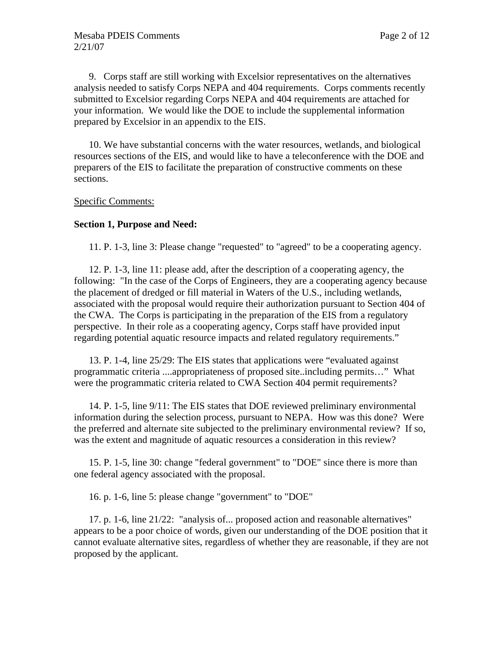9. Corps staff are still working with Excelsior representatives on the alternatives analysis needed to satisfy Corps NEPA and 404 requirements. Corps comments recently submitted to Excelsior regarding Corps NEPA and 404 requirements are attached for your information. We would like the DOE to include the supplemental information prepared by Excelsior in an appendix to the EIS.

10. We have substantial concerns with the water resources, wetlands, and biological resources sections of the EIS, and would like to have a teleconference with the DOE and preparers of the EIS to facilitate the preparation of constructive comments on these sections.

#### Specific Comments:

#### **Section 1, Purpose and Need:**

11. P. 1-3, line 3: Please change "requested" to "agreed" to be a cooperating agency.

12. P. 1-3, line 11: please add, after the description of a cooperating agency, the following: "In the case of the Corps of Engineers, they are a cooperating agency because the placement of dredged or fill material in Waters of the U.S., including wetlands, associated with the proposal would require their authorization pursuant to Section 404 of the CWA. The Corps is participating in the preparation of the EIS from a regulatory perspective. In their role as a cooperating agency, Corps staff have provided input regarding potential aquatic resource impacts and related regulatory requirements."

13. P. 1-4, line 25/29: The EIS states that applications were "evaluated against programmatic criteria ....appropriateness of proposed site..including permits…" What were the programmatic criteria related to CWA Section 404 permit requirements?

14. P. 1-5, line 9/11: The EIS states that DOE reviewed preliminary environmental information during the selection process, pursuant to NEPA. How was this done? Were the preferred and alternate site subjected to the preliminary environmental review? If so, was the extent and magnitude of aquatic resources a consideration in this review?

15. P. 1-5, line 30: change "federal government" to "DOE" since there is more than one federal agency associated with the proposal.

16. p. 1-6, line 5: please change "government" to "DOE"

17. p. 1-6, line 21/22: "analysis of... proposed action and reasonable alternatives" appears to be a poor choice of words, given our understanding of the DOE position that it cannot evaluate alternative sites, regardless of whether they are reasonable, if they are not proposed by the applicant.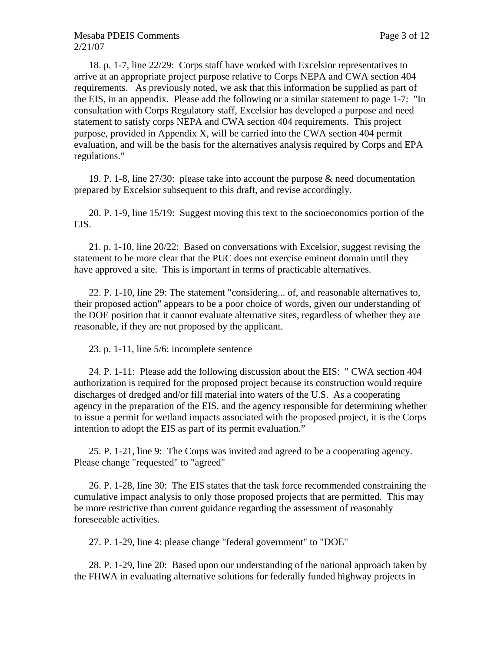18. p. 1-7, line 22/29: Corps staff have worked with Excelsior representatives to arrive at an appropriate project purpose relative to Corps NEPA and CWA section 404 requirements. As previously noted, we ask that this information be supplied as part of the EIS, in an appendix. Please add the following or a similar statement to page 1-7: "In consultation with Corps Regulatory staff, Excelsior has developed a purpose and need statement to satisfy corps NEPA and CWA section 404 requirements. This project purpose, provided in Appendix X, will be carried into the CWA section 404 permit evaluation, and will be the basis for the alternatives analysis required by Corps and EPA regulations."

19. P. 1-8, line 27/30: please take into account the purpose & need documentation prepared by Excelsior subsequent to this draft, and revise accordingly.

20. P. 1-9, line 15/19: Suggest moving this text to the socioeconomics portion of the EIS.

21. p. 1-10, line 20/22: Based on conversations with Excelsior, suggest revising the statement to be more clear that the PUC does not exercise eminent domain until they have approved a site. This is important in terms of practicable alternatives.

22. P. 1-10, line 29: The statement "considering... of, and reasonable alternatives to, their proposed action" appears to be a poor choice of words, given our understanding of the DOE position that it cannot evaluate alternative sites, regardless of whether they are reasonable, if they are not proposed by the applicant.

23. p. 1-11, line 5/6: incomplete sentence

24. P. 1-11: Please add the following discussion about the EIS: " CWA section 404 authorization is required for the proposed project because its construction would require discharges of dredged and/or fill material into waters of the U.S. As a cooperating agency in the preparation of the EIS, and the agency responsible for determining whether to issue a permit for wetland impacts associated with the proposed project, it is the Corps intention to adopt the EIS as part of its permit evaluation."

25. P. 1-21, line 9: The Corps was invited and agreed to be a cooperating agency. Please change "requested" to "agreed"

26. P. 1-28, line 30: The EIS states that the task force recommended constraining the cumulative impact analysis to only those proposed projects that are permitted. This may be more restrictive than current guidance regarding the assessment of reasonably foreseeable activities.

27. P. 1-29, line 4: please change "federal government" to "DOE"

28. P. 1-29, line 20: Based upon our understanding of the national approach taken by the FHWA in evaluating alternative solutions for federally funded highway projects in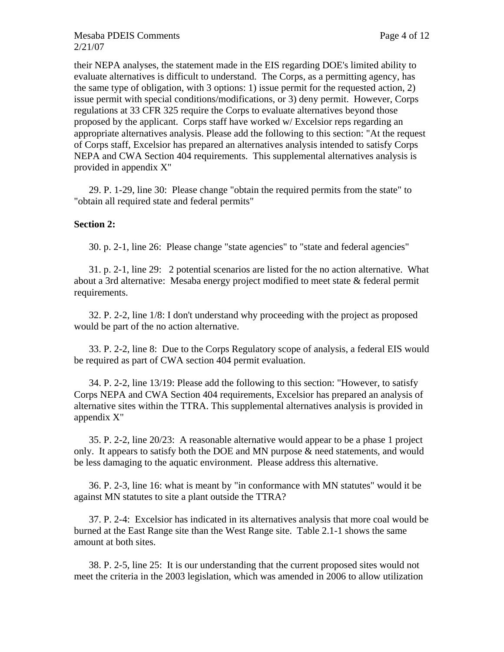their NEPA analyses, the statement made in the EIS regarding DOE's limited ability to evaluate alternatives is difficult to understand. The Corps, as a permitting agency, has the same type of obligation, with 3 options: 1) issue permit for the requested action, 2) issue permit with special conditions/modifications, or 3) deny permit. However, Corps regulations at 33 CFR 325 require the Corps to evaluate alternatives beyond those proposed by the applicant. Corps staff have worked w/ Excelsior reps regarding an appropriate alternatives analysis. Please add the following to this section: "At the request of Corps staff, Excelsior has prepared an alternatives analysis intended to satisfy Corps NEPA and CWA Section 404 requirements. This supplemental alternatives analysis is provided in appendix X"

29. P. 1-29, line 30: Please change "obtain the required permits from the state" to "obtain all required state and federal permits"

## **Section 2:**

30. p. 2-1, line 26: Please change "state agencies" to "state and federal agencies"

31. p. 2-1, line 29: 2 potential scenarios are listed for the no action alternative. What about a 3rd alternative: Mesaba energy project modified to meet state & federal permit requirements.

32. P. 2-2, line 1/8: I don't understand why proceeding with the project as proposed would be part of the no action alternative.

33. P. 2-2, line 8: Due to the Corps Regulatory scope of analysis, a federal EIS would be required as part of CWA section 404 permit evaluation.

34. P. 2-2, line 13/19: Please add the following to this section: "However, to satisfy Corps NEPA and CWA Section 404 requirements, Excelsior has prepared an analysis of alternative sites within the TTRA. This supplemental alternatives analysis is provided in appendix X"

35. P. 2-2, line 20/23: A reasonable alternative would appear to be a phase 1 project only. It appears to satisfy both the DOE and MN purpose & need statements, and would be less damaging to the aquatic environment. Please address this alternative.

36. P. 2-3, line 16: what is meant by "in conformance with MN statutes" would it be against MN statutes to site a plant outside the TTRA?

37. P. 2-4: Excelsior has indicated in its alternatives analysis that more coal would be burned at the East Range site than the West Range site. Table 2.1-1 shows the same amount at both sites.

38. P. 2-5, line 25: It is our understanding that the current proposed sites would not meet the criteria in the 2003 legislation, which was amended in 2006 to allow utilization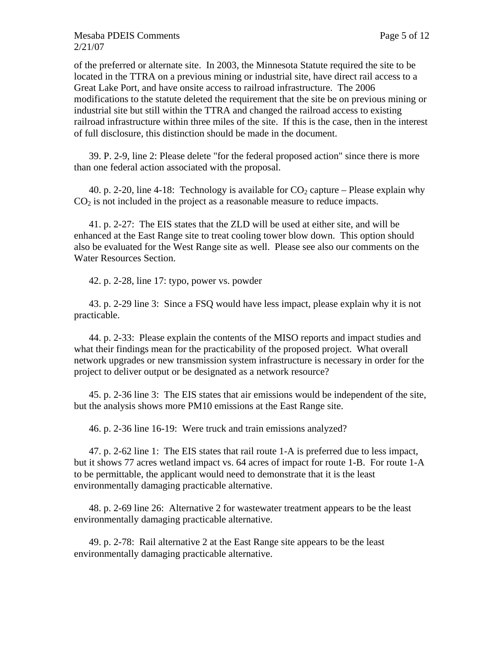of the preferred or alternate site. In 2003, the Minnesota Statute required the site to be located in the TTRA on a previous mining or industrial site, have direct rail access to a Great Lake Port, and have onsite access to railroad infrastructure. The 2006 modifications to the statute deleted the requirement that the site be on previous mining or industrial site but still within the TTRA and changed the railroad access to existing railroad infrastructure within three miles of the site. If this is the case, then in the interest of full disclosure, this distinction should be made in the document.

39. P. 2-9, line 2: Please delete "for the federal proposed action" since there is more than one federal action associated with the proposal.

40. p. 2-20, line 4-18: Technology is available for  $CO_2$  capture – Please explain why  $CO<sub>2</sub>$  is not included in the project as a reasonable measure to reduce impacts.

41. p. 2-27: The EIS states that the ZLD will be used at either site, and will be enhanced at the East Range site to treat cooling tower blow down. This option should also be evaluated for the West Range site as well. Please see also our comments on the Water Resources Section.

42. p. 2-28, line 17: typo, power vs. powder

43. p. 2-29 line 3: Since a FSQ would have less impact, please explain why it is not practicable.

44. p. 2-33: Please explain the contents of the MISO reports and impact studies and what their findings mean for the practicability of the proposed project. What overall network upgrades or new transmission system infrastructure is necessary in order for the project to deliver output or be designated as a network resource?

45. p. 2-36 line 3: The EIS states that air emissions would be independent of the site, but the analysis shows more PM10 emissions at the East Range site.

46. p. 2-36 line 16-19: Were truck and train emissions analyzed?

47. p. 2-62 line 1: The EIS states that rail route 1-A is preferred due to less impact, but it shows 77 acres wetland impact vs. 64 acres of impact for route 1-B. For route 1-A to be permittable, the applicant would need to demonstrate that it is the least environmentally damaging practicable alternative.

48. p. 2-69 line 26: Alternative 2 for wastewater treatment appears to be the least environmentally damaging practicable alternative.

49. p. 2-78: Rail alternative 2 at the East Range site appears to be the least environmentally damaging practicable alternative.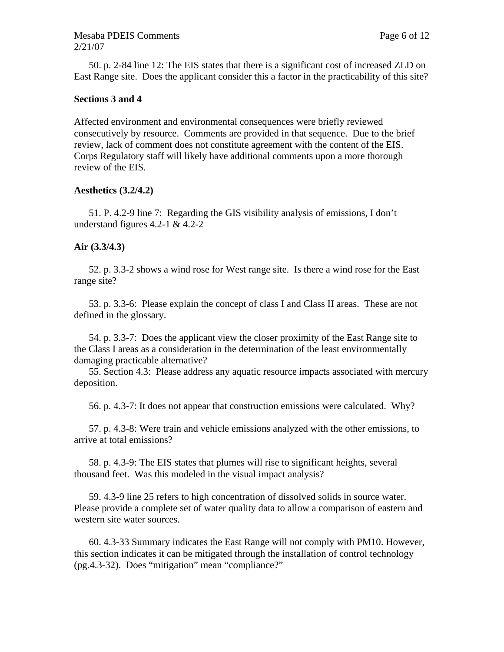50. p. 2-84 line 12: The EIS states that there is a significant cost of increased ZLD on East Range site. Does the applicant consider this a factor in the practicability of this site?

#### **Sections 3 and 4**

Affected environment and environmental consequences were briefly reviewed consecutively by resource. Comments are provided in that sequence. Due to the brief review, lack of comment does not constitute agreement with the content of the EIS. Corps Regulatory staff will likely have additional comments upon a more thorough review of the EIS.

#### **Aesthetics (3.2/4.2)**

51. P. 4.2-9 line 7: Regarding the GIS visibility analysis of emissions, I don't understand figures 4.2-1 & 4.2-2

#### **Air (3.3/4.3)**

52. p. 3.3-2 shows a wind rose for West range site. Is there a wind rose for the East range site?

53. p. 3.3-6: Please explain the concept of class I and Class II areas. These are not defined in the glossary.

54. p. 3.3-7: Does the applicant view the closer proximity of the East Range site to the Class I areas as a consideration in the determination of the least environmentally damaging practicable alternative?

55. Section 4.3: Please address any aquatic resource impacts associated with mercury deposition.

56. p. 4.3-7: It does not appear that construction emissions were calculated. Why?

57. p. 4.3-8: Were train and vehicle emissions analyzed with the other emissions, to arrive at total emissions?

58. p. 4.3-9: The EIS states that plumes will rise to significant heights, several thousand feet. Was this modeled in the visual impact analysis?

59. 4.3-9 line 25 refers to high concentration of dissolved solids in source water. Please provide a complete set of water quality data to allow a comparison of eastern and western site water sources.

60. 4.3-33 Summary indicates the East Range will not comply with PM10. However, this section indicates it can be mitigated through the installation of control technology (pg.4.3-32). Does "mitigation" mean "compliance?"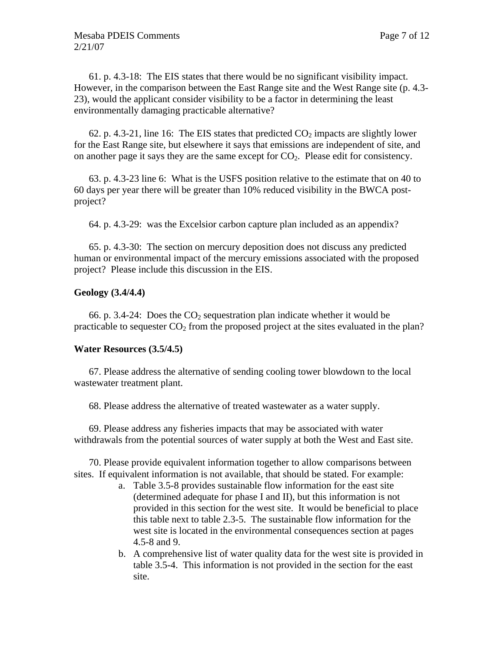61. p. 4.3-18: The EIS states that there would be no significant visibility impact. However, in the comparison between the East Range site and the West Range site (p. 4.3- 23), would the applicant consider visibility to be a factor in determining the least environmentally damaging practicable alternative?

62. p. 4.3-21, line 16: The EIS states that predicted  $CO_2$  impacts are slightly lower for the East Range site, but elsewhere it says that emissions are independent of site, and on another page it says they are the same except for  $CO<sub>2</sub>$ . Please edit for consistency.

63. p. 4.3-23 line 6: What is the USFS position relative to the estimate that on 40 to 60 days per year there will be greater than 10% reduced visibility in the BWCA postproject?

64. p. 4.3-29: was the Excelsior carbon capture plan included as an appendix?

65. p. 4.3-30: The section on mercury deposition does not discuss any predicted human or environmental impact of the mercury emissions associated with the proposed project? Please include this discussion in the EIS.

### **Geology (3.4/4.4)**

66. p. 3.4-24: Does the  $CO<sub>2</sub>$  sequestration plan indicate whether it would be practicable to sequester  $CO<sub>2</sub>$  from the proposed project at the sites evaluated in the plan?

## **Water Resources (3.5/4.5)**

67. Please address the alternative of sending cooling tower blowdown to the local wastewater treatment plant.

68. Please address the alternative of treated wastewater as a water supply.

69. Please address any fisheries impacts that may be associated with water withdrawals from the potential sources of water supply at both the West and East site.

70. Please provide equivalent information together to allow comparisons between sites. If equivalent information is not available, that should be stated. For example:

- a. Table 3.5-8 provides sustainable flow information for the east site (determined adequate for phase I and II), but this information is not provided in this section for the west site. It would be beneficial to place this table next to table 2.3-5. The sustainable flow information for the west site is located in the environmental consequences section at pages 4.5-8 and 9.
- b. A comprehensive list of water quality data for the west site is provided in table 3.5-4. This information is not provided in the section for the east site.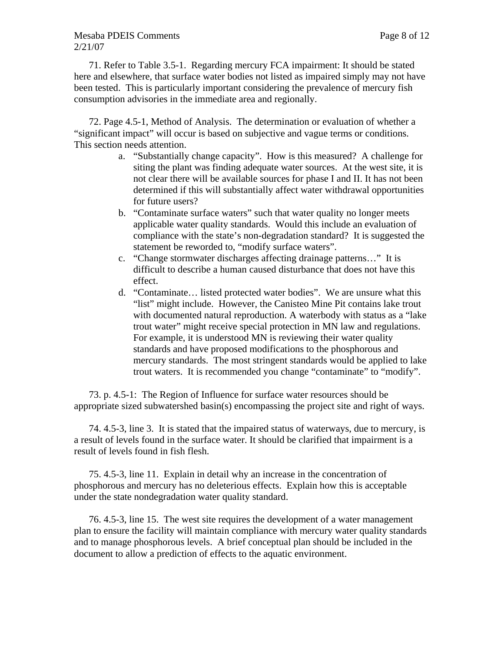## Mesaba PDEIS Comments **Page 8 of 12** 2/21/07

71. Refer to Table 3.5-1. Regarding mercury FCA impairment: It should be stated here and elsewhere, that surface water bodies not listed as impaired simply may not have been tested. This is particularly important considering the prevalence of mercury fish consumption advisories in the immediate area and regionally.

72. Page 4.5-1, Method of Analysis. The determination or evaluation of whether a "significant impact" will occur is based on subjective and vague terms or conditions. This section needs attention.

- a. "Substantially change capacity". How is this measured? A challenge for siting the plant was finding adequate water sources. At the west site, it is not clear there will be available sources for phase I and II. It has not been determined if this will substantially affect water withdrawal opportunities for future users?
- b. "Contaminate surface waters" such that water quality no longer meets applicable water quality standards. Would this include an evaluation of compliance with the state's non-degradation standard? It is suggested the statement be reworded to, "modify surface waters".
- c. "Change stormwater discharges affecting drainage patterns…" It is difficult to describe a human caused disturbance that does not have this effect.
- d. "Contaminate… listed protected water bodies". We are unsure what this "list" might include. However, the Canisteo Mine Pit contains lake trout with documented natural reproduction. A waterbody with status as a "lake trout water" might receive special protection in MN law and regulations. For example, it is understood MN is reviewing their water quality standards and have proposed modifications to the phosphorous and mercury standards. The most stringent standards would be applied to lake trout waters. It is recommended you change "contaminate" to "modify".

73. p. 4.5-1: The Region of Influence for surface water resources should be appropriate sized subwatershed basin(s) encompassing the project site and right of ways.

74. 4.5-3, line 3. It is stated that the impaired status of waterways, due to mercury, is a result of levels found in the surface water. It should be clarified that impairment is a result of levels found in fish flesh.

75. 4.5-3, line 11. Explain in detail why an increase in the concentration of phosphorous and mercury has no deleterious effects. Explain how this is acceptable under the state nondegradation water quality standard.

76. 4.5-3, line 15. The west site requires the development of a water management plan to ensure the facility will maintain compliance with mercury water quality standards and to manage phosphorous levels. A brief conceptual plan should be included in the document to allow a prediction of effects to the aquatic environment.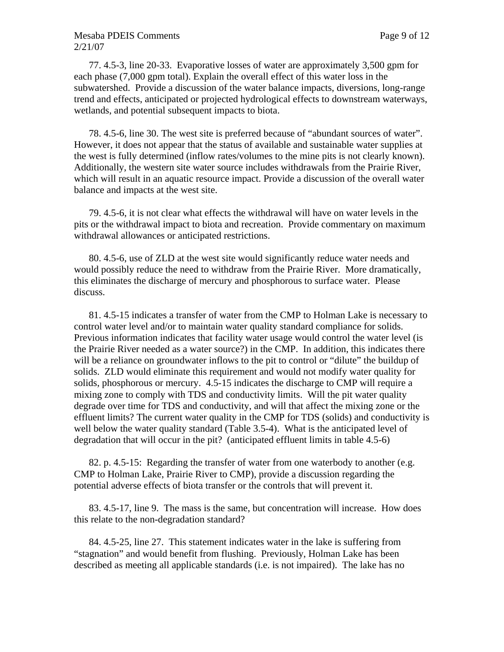### Mesaba PDEIS Comments **Page 9 of 12** 2/21/07

77. 4.5-3, line 20-33. Evaporative losses of water are approximately 3,500 gpm for each phase (7,000 gpm total). Explain the overall effect of this water loss in the subwatershed. Provide a discussion of the water balance impacts, diversions, long-range trend and effects, anticipated or projected hydrological effects to downstream waterways, wetlands, and potential subsequent impacts to biota.

78. 4.5-6, line 30. The west site is preferred because of "abundant sources of water". However, it does not appear that the status of available and sustainable water supplies at the west is fully determined (inflow rates/volumes to the mine pits is not clearly known). Additionally, the western site water source includes withdrawals from the Prairie River, which will result in an aquatic resource impact. Provide a discussion of the overall water balance and impacts at the west site.

79. 4.5-6, it is not clear what effects the withdrawal will have on water levels in the pits or the withdrawal impact to biota and recreation. Provide commentary on maximum withdrawal allowances or anticipated restrictions.

80. 4.5-6, use of ZLD at the west site would significantly reduce water needs and would possibly reduce the need to withdraw from the Prairie River. More dramatically, this eliminates the discharge of mercury and phosphorous to surface water. Please discuss.

81. 4.5-15 indicates a transfer of water from the CMP to Holman Lake is necessary to control water level and/or to maintain water quality standard compliance for solids. Previous information indicates that facility water usage would control the water level (is the Prairie River needed as a water source?) in the CMP. In addition, this indicates there will be a reliance on groundwater inflows to the pit to control or "dilute" the buildup of solids. ZLD would eliminate this requirement and would not modify water quality for solids, phosphorous or mercury. 4.5-15 indicates the discharge to CMP will require a mixing zone to comply with TDS and conductivity limits. Will the pit water quality degrade over time for TDS and conductivity, and will that affect the mixing zone or the effluent limits? The current water quality in the CMP for TDS (solids) and conductivity is well below the water quality standard (Table 3.5-4). What is the anticipated level of degradation that will occur in the pit? (anticipated effluent limits in table 4.5-6)

82. p. 4.5-15: Regarding the transfer of water from one waterbody to another (e.g. CMP to Holman Lake, Prairie River to CMP), provide a discussion regarding the potential adverse effects of biota transfer or the controls that will prevent it.

83. 4.5-17, line 9. The mass is the same, but concentration will increase. How does this relate to the non-degradation standard?

84. 4.5-25, line 27. This statement indicates water in the lake is suffering from "stagnation" and would benefit from flushing. Previously, Holman Lake has been described as meeting all applicable standards (i.e. is not impaired). The lake has no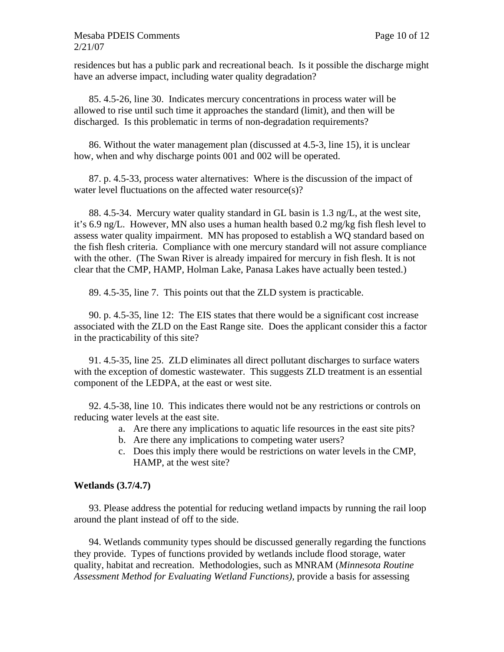### Mesaba PDEIS Comments Page 10 of 12 2/21/07

residences but has a public park and recreational beach. Is it possible the discharge might have an adverse impact, including water quality degradation?

85. 4.5-26, line 30. Indicates mercury concentrations in process water will be allowed to rise until such time it approaches the standard (limit), and then will be discharged. Is this problematic in terms of non-degradation requirements?

86. Without the water management plan (discussed at 4.5-3, line 15), it is unclear how, when and why discharge points 001 and 002 will be operated.

87. p. 4.5-33, process water alternatives: Where is the discussion of the impact of water level fluctuations on the affected water resource(s)?

88. 4.5-34. Mercury water quality standard in GL basin is 1.3 ng/L, at the west site, it's 6.9 ng/L. However, MN also uses a human health based 0.2 mg/kg fish flesh level to assess water quality impairment. MN has proposed to establish a WQ standard based on the fish flesh criteria. Compliance with one mercury standard will not assure compliance with the other. (The Swan River is already impaired for mercury in fish flesh. It is not clear that the CMP, HAMP, Holman Lake, Panasa Lakes have actually been tested.)

89. 4.5-35, line 7. This points out that the ZLD system is practicable.

90. p. 4.5-35, line 12: The EIS states that there would be a significant cost increase associated with the ZLD on the East Range site. Does the applicant consider this a factor in the practicability of this site?

91. 4.5-35, line 25. ZLD eliminates all direct pollutant discharges to surface waters with the exception of domestic wastewater. This suggests ZLD treatment is an essential component of the LEDPA, at the east or west site.

92. 4.5-38, line 10. This indicates there would not be any restrictions or controls on reducing water levels at the east site.

- a. Are there any implications to aquatic life resources in the east site pits?
- b. Are there any implications to competing water users?
- c. Does this imply there would be restrictions on water levels in the CMP, HAMP, at the west site?

## **Wetlands (3.7/4.7)**

93. Please address the potential for reducing wetland impacts by running the rail loop around the plant instead of off to the side.

94. Wetlands community types should be discussed generally regarding the functions they provide. Types of functions provided by wetlands include flood storage, water quality, habitat and recreation. Methodologies, such as MNRAM (*Minnesota Routine Assessment Method for Evaluating Wetland Functions)*, provide a basis for assessing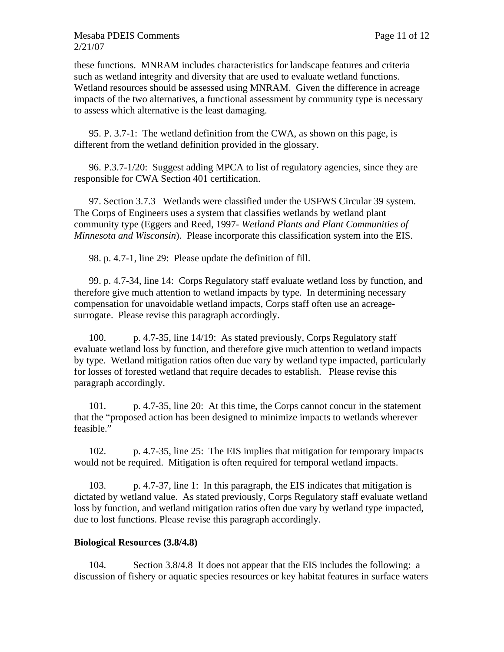these functions. MNRAM includes characteristics for landscape features and criteria such as wetland integrity and diversity that are used to evaluate wetland functions. Wetland resources should be assessed using MNRAM. Given the difference in acreage impacts of the two alternatives, a functional assessment by community type is necessary to assess which alternative is the least damaging.

95. P. 3.7-1: The wetland definition from the CWA, as shown on this page, is different from the wetland definition provided in the glossary.

96. P.3.7-1/20: Suggest adding MPCA to list of regulatory agencies, since they are responsible for CWA Section 401 certification.

97. Section 3.7.3 Wetlands were classified under the USFWS Circular 39 system. The Corps of Engineers uses a system that classifies wetlands by wetland plant community type (Eggers and Reed, 1997- *Wetland Plants and Plant Communities of Minnesota and Wisconsin*). Please incorporate this classification system into the EIS.

98. p. 4.7-1, line 29: Please update the definition of fill.

99. p. 4.7-34, line 14: Corps Regulatory staff evaluate wetland loss by function, and therefore give much attention to wetland impacts by type. In determining necessary compensation for unavoidable wetland impacts, Corps staff often use an acreagesurrogate. Please revise this paragraph accordingly.

100. p. 4.7-35, line 14/19: As stated previously, Corps Regulatory staff evaluate wetland loss by function, and therefore give much attention to wetland impacts by type. Wetland mitigation ratios often due vary by wetland type impacted, particularly for losses of forested wetland that require decades to establish. Please revise this paragraph accordingly.

101. p. 4.7-35, line 20: At this time, the Corps cannot concur in the statement that the "proposed action has been designed to minimize impacts to wetlands wherever feasible."

102. p. 4.7-35, line 25: The EIS implies that mitigation for temporary impacts would not be required. Mitigation is often required for temporal wetland impacts.

103. p. 4.7-37, line 1: In this paragraph, the EIS indicates that mitigation is dictated by wetland value. As stated previously, Corps Regulatory staff evaluate wetland loss by function, and wetland mitigation ratios often due vary by wetland type impacted, due to lost functions. Please revise this paragraph accordingly.

## **Biological Resources (3.8/4.8)**

104. Section 3.8/4.8 It does not appear that the EIS includes the following: a discussion of fishery or aquatic species resources or key habitat features in surface waters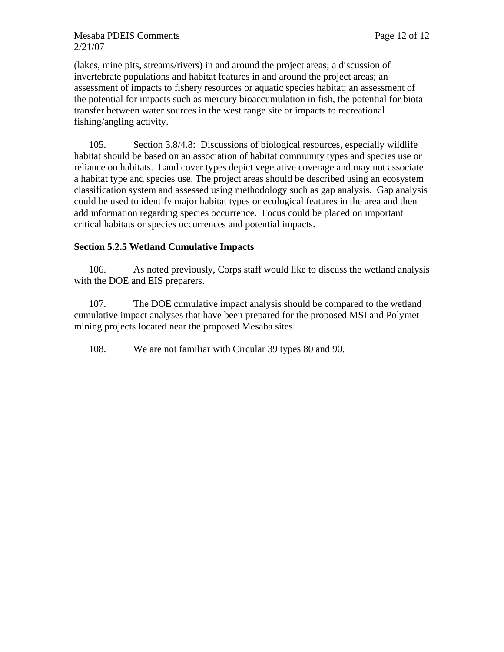(lakes, mine pits, streams/rivers) in and around the project areas; a discussion of invertebrate populations and habitat features in and around the project areas; an assessment of impacts to fishery resources or aquatic species habitat; an assessment of the potential for impacts such as mercury bioaccumulation in fish, the potential for biota transfer between water sources in the west range site or impacts to recreational fishing/angling activity.

105. Section 3.8/4.8: Discussions of biological resources, especially wildlife habitat should be based on an association of habitat community types and species use or reliance on habitats. Land cover types depict vegetative coverage and may not associate a habitat type and species use. The project areas should be described using an ecosystem classification system and assessed using methodology such as gap analysis. Gap analysis could be used to identify major habitat types or ecological features in the area and then add information regarding species occurrence. Focus could be placed on important critical habitats or species occurrences and potential impacts.

## **Section 5.2.5 Wetland Cumulative Impacts**

106. As noted previously, Corps staff would like to discuss the wetland analysis with the DOE and EIS preparers.

107. The DOE cumulative impact analysis should be compared to the wetland cumulative impact analyses that have been prepared for the proposed MSI and Polymet mining projects located near the proposed Mesaba sites.

108. We are not familiar with Circular 39 types 80 and 90.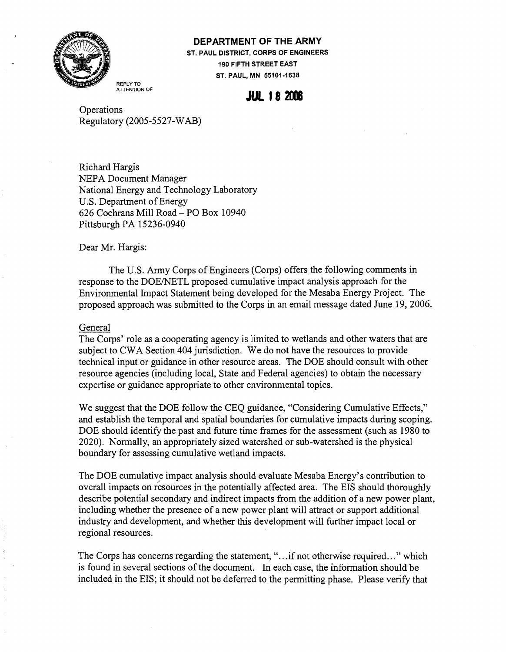

#### **DEPARTMENT OF THE ARMY**

**ST. PAUL DISTRICT, CORPS OF ENGINEERS 190 FIFTH STREET EAST ST. PAUL, MN 55101-1638** 

REPLY TO ATTENTION OF

# **JUL 18 2006**

**Operations** Regulatory (2005-5527-WAB)

Richard Hargis NEPA Document Manager National Energy and Technology Laboratory U.S. Department of Energy 626 Cochrans Mill Road - PO Box 10940 Pittsburgh PA 15236-0940

Dear Mr. Hargis:

The U.S. Army Corps of Engineers (Corps) offers the following comments in response to the DOE/NETL proposed cumulative impact analysis approach for the Environmental Impact Statement being developed for the Mesaba Energy Project. The proposed approach was submitted to the Corps in an email message dated June 19,2006.

#### General

The Corps' role as a cooperating agency is limited to wetlands and other waters that are subject to CWA Section 404 jurisdiction. We do not have the resources to provide technical input or guidance in other resource areas. The DOE should consult with other resource agencies (including local, State and Federal agencies) to obtain the necessary expertise or guidance appropriate to other environmental topics.

We suggest that the DOE follow the CEQ guidance, "Considering Cumulative Effects," and establish the temporal and spatial boundaries for cumulative impacts during scoping. DOE should identify the past and future time frames for the assessment (such as 1980 to 2020). Normally, an appropriately sized watershed or sub-watershed is the physical boundary for assessing cumulative wetland impacts.

The DOE cumulative impact analysis should evaluate Mesaba Energy's contribution to overall impacts on resources in the potentially affected area. The EIS should thoroughly describe potential secondary and indirect impacts from the addition of a new power plant, including whether the presence of a new power plant will attract or support additional industry and development, and whether this development will further impact local or regional resources.

The Corps has concerns regarding the statement, "...if not otherwise required..." which is found in several sections of the document. In each case, the information should be included in the EIS; it should not be deferred to the permitting phase. Please verify that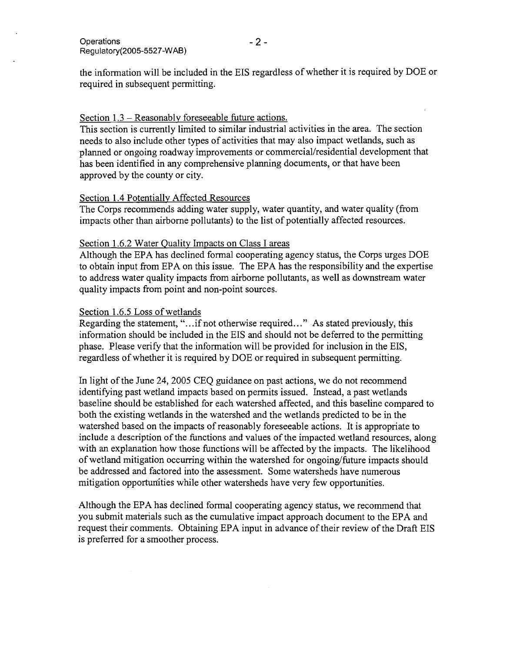the information will be included in the EIS regardless of whether it is required by DOE or required in subsequent permitting.

### Section 1.3 – Reasonably foreseeable future actions.

This section is currently limited to similar industrial activities in the area. The section needs to also include other types of activities that may also impact wetlands, such as planned or ongoing roadway improvements or commercial/residential development that has been identified in any comprehensive planning documents, or that have been approved by the county or city.

### Section 1.4 Potentially Affected Resources

The Corps recommends adding water supply, water quantity, and water quality (from impacts other than airborne pollutants) to the list of potentially affected resources.

### Section 1.6.2 Water Quality Impacts on Class I areas

Although the EPA has declined formal cooperating agency status, the Corps urges DOE to obtain input from EPA on this issue. The EPA has the responsibility and the expertise to address water quality impacts from airborne pollutants, as well as downstream water quality impacts from point and non-point sources.

### Section 1.6.5 Loss of wetlands

Regarding the statement, "...if not otherwise required..." As stated previously, this information should be included in the EIS and should not be deferred to the permitting phase. Please verify that the information will be provided for inclusion in the EIS, regardless of whether it is required by DOE or required in subsequent permitting.

In light of the June 24, 2005 CEQ guidance on past actions, we do not recommend identifying past wetland impacts based on permits issued. Instead, a past wetlands baseline should be established for each watershed affected, and this baseline compared to both the existing wetlands in the watershed and the wetlands predicted to be in the watershed based on the impacts of reasonably foreseeable actions. It is appropriate to include a description of the functions and values of the impacted wetland resources, along with an explanation how those functions will be affected by the impacts. The likelihood of wetland mitigation occurring within the watershed for ongoing/future impacts should be addressed and factored into the assessment. Some watersheds have numerous mitigation opportunities while other watersheds have very few opportunities.

Although the EPA has declined formal cooperating agency status, we recommend that you submit materials such as the cumulative impact approach document to the EPA and request their comments. Obtaining EPA input in advance of their review of the Draft EIS is preferred for a smoother process.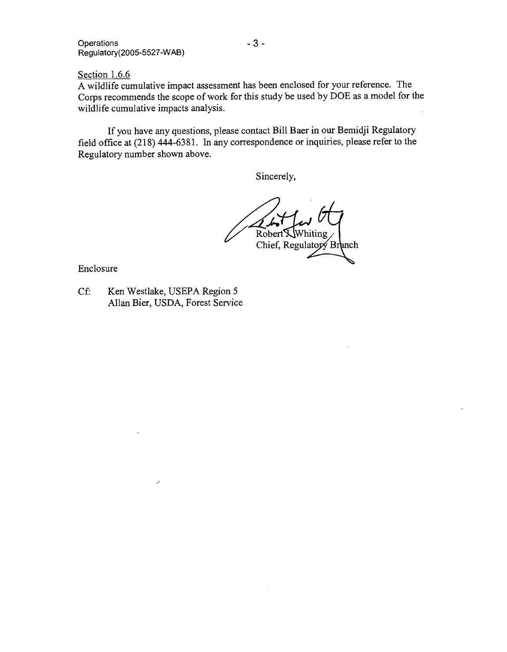Operations **-3-**Regulatory(2005-5527-WAB)

Section 1.6.6

A wildlife cumulative impact assessment has been enclosed for your reference. The Corps recommends the scope of work for this study be used by  $\overline{DOE}$  as a model for the wildlife cumulative impacts analysis.

If you have any questions, please contact Bill Baer in our Bemidji Regulatory field office at (218) 444-6381. In any correspondence or inquiries, please refer to the Regulatory number shown above.

Sincerely,

Robert K Whiting Chief, Regulatory Branch

Enclosure

Cf: Ken Westlake, USEPA Region 5 Allan Bier, USDA, Forest Service

7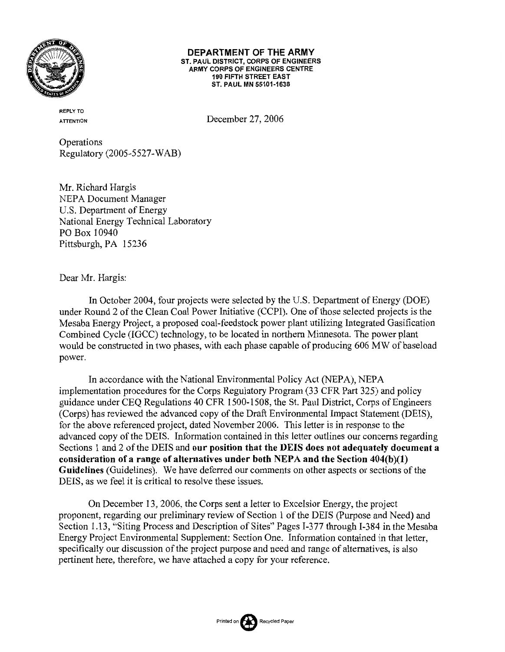

#### DEPARTMENT OF THE ARMY ST. PAUL DISTRICT, CORPS OF ENGINEERS ARMY CORPS OF ENGINEERS CENTRE **190 FIFTH STREET EAST** ST. PAUL MN 55101-1638

**REPLY TO ATTENTION** 

December 27, 2006

Operations Regulatory (2005-5527-WAB)

Mr. Richard Hargis **NEPA Document Manager** U.S. Department of Energy National Energy Technical Laboratory PO Box 10940 Pittsburgh, PA 15236

Dear Mr. Hargis:

In October 2004, four projects were selected by the U.S. Department of Energy (DOE) under Round 2 of the Clean Coal Power Initiative (CCPI). One of those selected projects is the Mesaba Energy Project, a proposed coal-feedstock power plant utilizing Integrated Gasification Combined Cycle (IGCC) technology, to be located in northern Minnesota. The power plant would be constructed in two phases, with each phase capable of producing 606 MW of baseload power.

In accordance with the National Environmental Policy Act (NEPA), NEPA implementation procedures for the Corps Regulatory Program (33 CFR Part 325) and policy guidance under CEO Regulations 40 CFR 1500-1508, the St. Paul District, Corps of Engineers (Corps) has reviewed the advanced copy of the Draft Environmental Impact Statement (DEIS), for the above referenced project, dated November 2006. This letter is in response to the advanced copy of the DEIS. Information contained in this letter outlines our concerns regarding Sections 1 and 2 of the DEIS and our position that the DEIS does not adequately document a consideration of a range of alternatives under both NEPA and the Section  $404(b)(1)$ Guidelines (Guidelines). We have deferred our comments on other aspects or sections of the DEIS, as we feel it is critical to resolve these issues.

On December 13, 2006, the Corps sent a letter to Excelsior Energy, the project proponent, regarding our preliminary review of Section 1 of the DEIS (Purpose and Need) and Section 1.13, "Siting Process and Description of Sites" Pages I-377 through I-384 in the Mesaba Energy Project Environmental Supplement: Section One. Information contained in that letter, specifically our discussion of the project purpose and need and range of alternatives, is also pertinent here, therefore, we have attached a copy for your reference.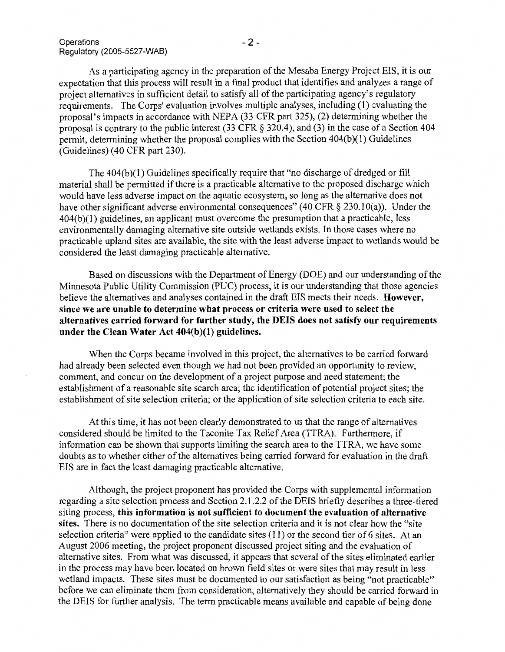As a participating agency in the preparation of the Mesaba Energy Project EIS, it is our expectation that this process will result in a final product that identifies and analyzes a range of project alternatives in sufficient detail to satisfy all of the participating agency's regulatory requirements. The Corps' evaluation involves multiple analyses, including (1) evaluating the proposal's impacts in accordance with NEPA (33 CFR part 325), (2) determining whether the proposal is contrary to the public interest (33 CFR  $\S$  320.4), and (3) in the case of a Section 404 permit, determining whether the proposal complies with the Section 404(b)(1) Guidelines (Guidelines) (40 CFR part 230).

The 404(b)(1) Guidelines specifically require that "no discharge of dredged or fill material shall be permitted if there is a practicable alternative to the proposed discharge which would have less adverse impact on the aquatic ecosystem, so long as the alternative does not have other significant adverse environmental consequences" (40 CFR  $\S$  230.10(a)). Under the  $404(b)(1)$  guidelines, an applicant must overcome the presumption that a practicable, less environmentally damaging alternative site outside wetlands exists. In those cases where no practicable upland sites are available, the site with the least adverse impact to wetlands would be considered the least damaging practicable alternative.

Based on discussions with the Department of Energy (DOE) and our understanding of the Minnesota Public Utility Commission (PUC) process, it is our understanding that those agencies believe the alternatives and analyses contained in the draft EIS meets their needs. However, since we are unable to determine what process or criteria were used to select the alternatives carried forward for further study, the DEIS does not satisfy our requirements under the Clean Water Act  $404(b)(1)$  guidelines.

When the Corps became involved in this project, the alternatives to be carried forward had already been selected even though we had not been provided an opportunity to review, comment, and concur on the development of a project purpose and need statement; the establishment of a reasonable site search area; the identification of potential project sites; the establishment of site selection criteria; or the application of site selection criteria to each site.

At this time, it has not been clearly demonstrated to us that the range of alternatives considered should be limited to the Taconite Tax Relief Area (TTRA). Furthermore, if information can be shown that supports limiting the search area to the TTRA, we have some doubts as to whether either of the alternatives being carried forward for evaluation in the draft EIS are in fact the least damaging practicable alternative.

Although, the project proponent has provided the Corps with supplemental information regarding a site selection process and Section 2.1.2.2 of the DEIS briefly describes a three-tiered siting process, this information is not sufficient to document the evaluation of alternative sites. There is no documentation of the site selection criteria and it is not clear how the "site" selection criteria" were applied to the candidate sites (11) or the second tier of 6 sites. At an August 2006 meeting, the project proponent discussed project siting and the evaluation of alternative sites. From what was discussed, it appears that several of the sites eliminated earlier in the process may have been located on brown field sites or were sites that may result in less wetland impacts. These sites must be documented to our satisfaction as being "not practicable" before we can eliminate them from consideration, alternatively they should be carried forward in the DEIS for further analysis. The term practicable means available and capable of being done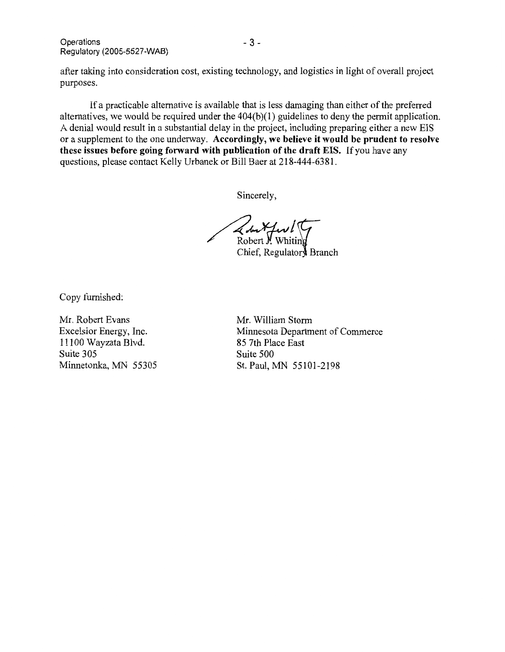Operations Regulatory (2005-5527-WAB)

after taking into consideration cost, existing technology, and logistics in light of overall project purposes.

If a practicable alternative is available that is less damaging than either of the preferred alternatives, we would be required under the  $404(b)(1)$  guidelines to deny the permit application. A denial would result in a substantial delay in the project, including preparing either a new EIS or a supplement to the one underway. Accordingly, we believe it would be prudent to resolve these issues before going forward with publication of the draft EIS. If you have any questions, please contact Kelly Urbanek or Bill Baer at 218-444-6381.

Sincerely,

Robert Y. Whitin

Chief, Regulatory Branch

Copy furnished:

Mr. Robert Evans Excelsior Energy, Inc. 11100 Wayzata Blvd. Suite 305 Minnetonka, MN 55305 Mr. William Storm Minnesota Department of Commerce 85 7th Place East Suite 500 St. Paul, MN 55101-2198